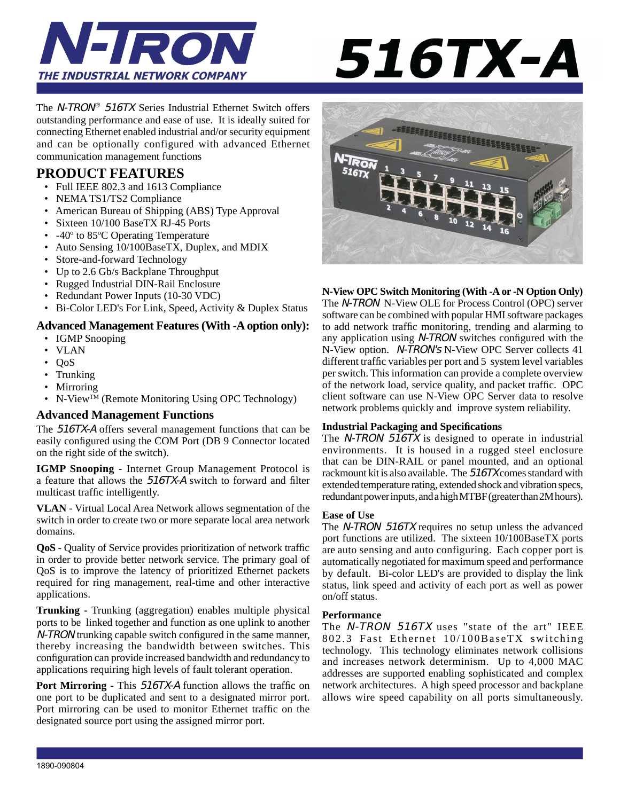

# 516TX-A

The N-TRON® 516TX Series Industrial Ethernet Switch offers outstanding performance and ease of use. It is ideally suited for connecting Ethernet enabled industrial and/or security equipment and can be optionally configured with advanced Ethernet communication management functions

# **PRODUCT FEATURES**

- Full IEEE 802.3 and 1613 Compliance
- NEMA TS1/TS2 Compliance
- American Bureau of Shipping (ABS) Type Approval
- Sixteen 10/100 BaseTX RJ-45 Ports
- -40<sup>°</sup> to 85<sup>°</sup>C Operating Temperature
- Auto Sensing 10/100BaseTX, Duplex, and MDIX
- Store-and-forward Technology
- Up to 2.6 Gb/s Backplane Throughput
- Rugged Industrial DIN-Rail Enclosure
- Redundant Power Inputs (10-30 VDC)
- Bi-Color LED's For Link, Speed, Activity & Duplex Status

#### **Advanced Management Features (With -A option only):**

- IGMP Snooping
- VLAN
- QoS
- Trunking
- Mirroring
- N-View<sup>TM</sup> (Remote Monitoring Using OPC Technology)

#### **Advanced Management Functions**

The 516TX-A offers several management functions that can be easily configured using the COM Port (DB 9 Connector located on the right side of the switch).

**IGMP Snooping** - Internet Group Management Protocol is a feature that allows the 516TX-A switch to forward and filter multicast traffic intelligently.

**VLAN** - Virtual Local Area Network allows segmentation of the switch in order to create two or more separate local area network domains.

**QoS** - Quality of Service provides prioritization of network traffic in order to provide better network service. The primary goal of QoS is to improve the latency of prioritized Ethernet packets required for ring management, real-time and other interactive applications.

**Trunking -** Trunking (aggregation) enables multiple physical ports to be linked together and function as one uplink to another N-TRON trunking capable switch configured in the same manner, thereby increasing the bandwidth between switches. This configuration can provide increased bandwidth and redundancy to applications requiring high levels of fault tolerant operation.

**Port Mirroring - This 516TX-A function allows the traffic on** one port to be duplicated and sent to a designated mirror port. Port mirroring can be used to monitor Ethernet traffic on the designated source port using the assigned mirror port.



**N-View OPC Switch Monitoring (With -A or -N Option Only)**

The N-TRON N-View OLE for Process Control (OPC) server software can be combined with popular HMI software packages to add network traffic monitoring, trending and alarming to any application using  $N$ -TRON switches configured with the N-View option. N-TRON's N-View OPC Server collects 41 different traffic variables per port and 5 system level variables per switch. This information can provide a complete overview of the network load, service quality, and packet traffic. OPC client software can use N-View OPC Server data to resolve network problems quickly and improve system reliability.

#### **Industrial Packaging and Specifi cations**

The N-TRON 516TX is designed to operate in industrial environments. It is housed in a rugged steel enclosure that can be DIN-RAIL or panel mounted, and an optional rackmount kit is also available. The 516TX comes standard with extended temperature rating, extended shock and vibration specs, redundant power inputs, and a high MTBF (greater than 2M hours).

#### **Ease of Use**

The N-TRON 516TX requires no setup unless the advanced port functions are utilized. The sixteen 10/100BaseTX ports are auto sensing and auto configuring. Each copper port is automatically negotiated for maximum speed and performance by default. Bi-color LED's are provided to display the link status, link speed and activity of each port as well as power on/off status.

#### **Performance**

The N-TRON 516TX uses "state of the art" IEEE 802.3 Fast Ethernet 10/100BaseTX switching technology. This technology eliminates network collisions and increases network determinism. Up to 4,000 MAC addresses are supported enabling sophisticated and complex network architectures. A high speed processor and backplane allows wire speed capability on all ports simultaneously.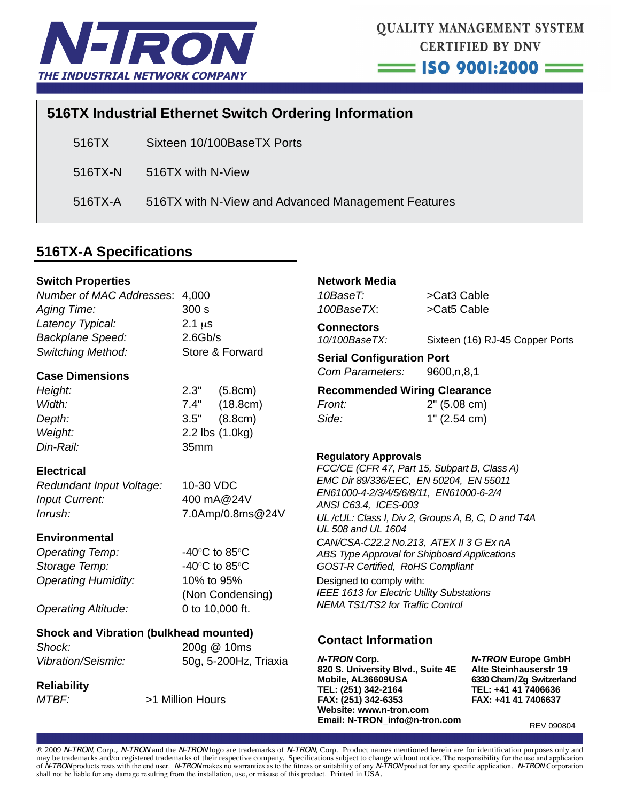

# **516TX Industrial Ethernet Switch Ordering Information**

516TX Sixteen 10/100BaseTX Ports

516TX-N 516TX with N-View

516TX-A 516TX with N-View and Advanced Management Features

# **516TX-A Specifi cations**

#### **Switch Properties**

| Number of MAC Addresses: 4,000 |                 |
|--------------------------------|-----------------|
| <b>Aging Time:</b>             | 300 s           |
| Latency Typical:               | $2.1 \,\mu s$   |
| <b>Backplane Speed:</b>        | 2.6Gb/s         |
| <b>Switching Method:</b>       | Store & Forward |
|                                |                 |

#### **Case Dimensions**

| Height:          |
|------------------|
| Width:           |
| Depth:           |
| Weight:          |
| <i>Din-Rail:</i> |

*Height:* 2.3" (5.8cm) *Width:* 7.4" (18.8cm) *Depth:* 3.5" (8.8cm) *Weight:* 2.2 lbs (1.0kg) *Din-Rail:* 35mm

#### **Electrical**

*Redundant Input Voltage:* 10-30 VDC *Input Current:* 400 mA@24V *Inrush:* 7.0Amp/0.8ms@24V

#### **Environmental**

**Operating Temp: Storage Temp:** *Operating Humidity:* 10% to 95%

# C to 85 $\degree$ C C to 85 $\degree$ C (Non Condensing)

*Operating Altitude:* 0 to 10,000 ft.

# **Shock and Vibration (bulkhead mounted)**

*Shock:* 200g @ 10ms *Vibration/Seismic:* 50g, 5-200Hz, Triaxia

#### **Reliability**

*MTBF:* >1 Million Hours

## **Network Media**

*10BaseT:* >Cat3 Cable *100BaseTX*: >Cat5 Cable

# **Connectors**

*10/100BaseTX:* Sixteen (16) RJ-45 Copper Ports

#### **Serial Configuration Port**

*Com Parameters:* 9600,n,8,1

#### **Recommended Wiring Clearance**

| Front: | 2" (5.08 cm) |
|--------|--------------|
| Side:  | 1" (2.54 cm) |

#### **Regulatory Approvals**

*FCC/CE (CFR 47, Part 15, Subpart B, Class A) EMC Dir 89/336/EEC, EN 50204, EN 55011 EN61000-4-2/3/4/5/6/8/11, EN61000-6-2/4 ANSI C63.4, ICES-003*

*UL /cUL: Class I, Div 2, Groups A, B, C, D and T4A UL 508 and UL 1604*

*CAN/CSA-C22.2 No.213, ATEX II 3 G Ex nA ABS Type Approval for Shipboard Applications GOST-R Certifi ed, RoHS Compliant* Designed to comply with: *IEEE 1613 for Electric Utility Substations*

*NEMA TS1/TS2 for Traffi c Control*

### **Contact Information**

*N-TRON* **Corp.** *N-TRON* **Europe GmbH 820 S. University Blvd., Suite 4E Alte Steinhauserstr 19** Mobile, AL36609USA 6330 Cham/Zg Switzerland **TEL: (251) 342-2164 TEL: +41 41 7406636 FAX: (251) 342-6353 FAX: +41 41 7406637 Website: www.n-tron.com Email: N-TRON\_info@n-tron.com**

REV 090804

® 2009 N-TRON, Corp., N-TRON and the N-TRON logo are trademarks of N-TRON, Corp. Product names mentioned herein are for identification purposes only and may be trademarks and/or registered trademarks of their respective company. Specifications subject to change without notice. The responsibility for the use and application of N-TRON products rests with the end user. N-TRON makes no warranties as to the fitness or suitability of any N-TRON product for any specific application. N-TRON Corporation shall not be liable for any damage resulting from the installation, use, or misuse of this product. Printed in USA.